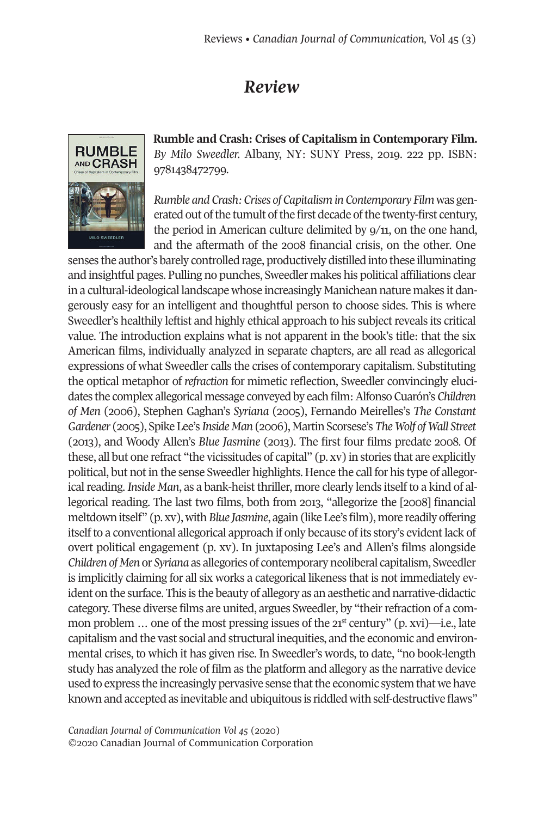## *Review*



**Rumble and Crash: Crises of Capitalism in Contemporary Film.** *By Milo Sweedler.* Albany, NY: SUNY Press, 2019. 222 pp. ISBN: 9781438472799.

*Rumble and Crash: Crises of Capitalism in Contemporary Film* was generated out of the tumult of the first decade of the twenty-first century, the period in American culture delimited by 9/11, on the one hand, and the aftermath of the 2008 financial crisis, on the other. One

senses the author's barely controlled rage, productively distilled into these illuminating and insightful pages. Pulling no punches, Sweedler makes his political affiliations clear in a cultural-ideological landscape whose increasingly Manichean nature makes it dangerously easy for an intelligent and thoughtful person to choose sides. This is where Sweedler's healthily leftist and highly ethical approach to his subject reveals its critical value. The introduction explains what is not apparent in the book's title: that the six American films, individually analyzed in separate chapters, are all read as allegorical expressions of what Sweedler calls the crises of contemporary capitalism. Substituting the optical metaphor of *refraction* for mimetic reflection, Sweedler convincingly elucidates the complex allegorical message conveyed by eachfilm:AlfonsoCuarón's*Children of Men* (2006), Stephen Gaghan's *Syriana* (2005), Fernando Meirelles's *The Constant Gardener* (2005), Spike Lee's *Inside Man* (2006), Martin Scorsese's *TheWolf ofWall Street* (2013), and Woody Allen's *Blue Jasmine* (2013). The first four films predate 2008. Of these, all but one refract "the vicissitudes of capital" (p. xv) in stories that are explicitly political, but notin the sense Sweedler highlights. Hence the call for his type of allegorical reading. *Inside Man*, as a bank-heist thriller, more clearly lends itself to a kind of allegorical reading. The last two films, both from 2013, "allegorize the [2008] financial meltdown itself" (p. xv), with*Blue Jasmine*, again (like Lee's film), more readily offering itselfto a conventional allegorical approach if only because of its story's evidentlack of overt political engagement (p. xv). In juxtaposing Lee's and Allen's films alongside *Children of Men* or *Syriana* as allegories of contemporary neoliberal capitalism, Sweedler is implicitly claiming for all six works a categorical likeness that is not immediately evident on the surface. This is the beauty of allegory as an aesthetic and narrative-didactic category. These diverse films are united, argues Sweedler, by "theirrefraction of a common problem  $\ldots$  one of the most pressing issues of the  $21<sup>st</sup>$  century" (p. xvi)—i.e., late capitalism and the vast social and structural inequities, and the economic and environmental crises, to which it has given rise. In Sweedler's words, to date, "no book-length study has analyzed the role of film as the platform and allegory as the narrative device used to express the increasingly pervasive sense that the economic system that we have known and accepted as inevitable and ubiquitous is riddled with self-destructive flaws"

*Canadian Journal of [Communication](http://www.cjc-online.ca) Vol 45* (2020) ©2020 Canadian Journal of Communication Corporation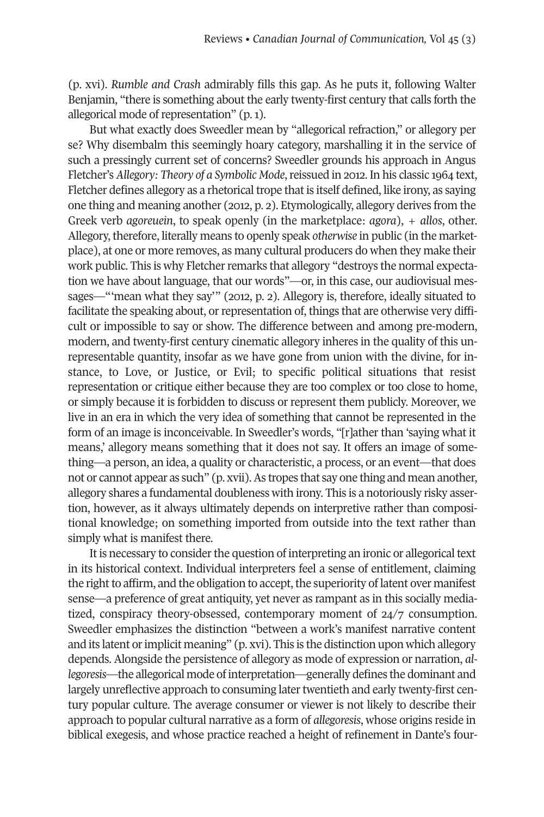(p. xvi). *Rumble and Crash* admirably fills this gap. As he puts it, following Walter Benjamin, "there is something about the early twenty-first century that calls forth the allegorical mode of representation" (p. 1).

But what exactly does Sweedler mean by "allegorical refraction," or allegory per se? Why disembalm this seemingly hoary category, marshalling it in the service of such a pressingly current set of concerns? Sweedler grounds his approach in Angus Fletcher's *Allegory: Theory of a Symbolic Mode*,reissued in 2012. In his classic 1964 text, Fletcher defines allegory as a rhetorical trope that is itself defined, like irony, as saying one thing and meaning another (2012, p. 2). Etymologically, allegory derives from the Greek verb *agoreuein*, to speak openly (in the marketplace: *agora*), + *allos*, other. Allegory, therefore, literally means to openly speak *otherwise* in public (in the marketplace), at one or more removes, as many cultural producers do when they make their work public. This is why Fletcher remarks that allegory "destroys the normal expectation we have about language, that our words"—or, in this case, our audiovisual messages—"'mean what they say'" (2012, p. 2). Allegory is, therefore, ideally situated to facilitate the speaking about, or representation of, things that are otherwise very difficult or impossible to say or show. The difference between and among pre-modern, modern, and twenty-first century cinematic allegory inheres in the quality of this unrepresentable quantity, insofar as we have gone from union with the divine, for instance, to Love, or Justice, or Evil; to specific political situations that resist representation or critique either because they are too complex or too close to home, or simply because it is forbidden to discuss or represent them publicly. Moreover, we live in an era in which the very idea of something that cannot be represented in the form of an image is inconceivable. In Sweedler's words, "[r]ather than 'saying what it means,' allegory means something that it does not say. It offers an image of something—a person, an idea, a quality or characteristic, a process, or an event—that does not or cannot appear as such" (p. xvii). As tropes that say one thing and mean another, allegory shares a fundamental doubleness with irony. This is a notoriously risky assertion, however, as it always ultimately depends on interpretive rather than compositional knowledge; on something imported from outside into the text rather than simply what is manifest there.

It is necessary to consider the question of interpreting an ironic or allegorical text in its historical context. Individual interpreters feel a sense of entitlement, claiming the right to affirm, and the obligation to accept, the superiority of latent over manifest sense—a preference of great antiquity, yet never as rampant as in this socially mediatized, conspiracy theory-obsessed, contemporary moment of 24/7 consumption. Sweedler emphasizes the distinction "between a work's manifest narrative content and its latent orimplicit meaning" (p. xvi). This is the distinction upon which allegory depends. Alongside the persistence of allegory as mode of expression or narration, *allegoresis*—the allegorical mode of interpretation—generally defines the dominant and largely unreflective approach to consuming later twentieth and early twenty-first century popular culture. The average consumer or viewer is not likely to describe their approach to popular cultural narrative as a form of *allegoresis*, whose origins reside in biblical exegesis, and whose practice reached a height of refinement in Dante's four-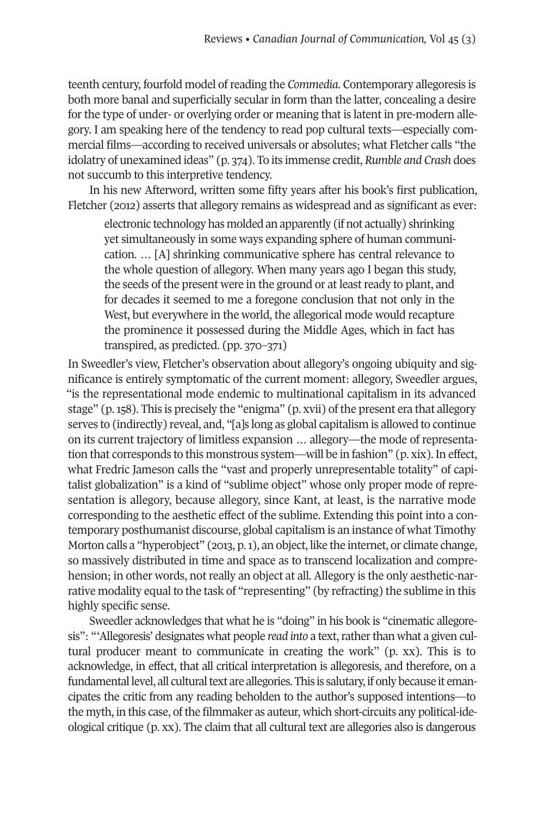teenth century, fourfold model of reading the *Commedia*. Contemporary allegoresis is both more banal and superficially secular in form than the latter, concealing a desire for the type of under- or overlying order or meaning that is latent in pre-modern allegory. I am speaking here of the tendency to read pop cultural texts—especially commercial films—according to received universals or absolutes; what Fletcher calls "the idolatry of unexamined ideas" (p. 374). To its immense credit, *Rumble and Crash* does not succumb to this interpretive tendency.

In his new Afterword, written some fifty years after his book's first publication, Fletcher (2012) asserts that allegory remains as widespread and as significant as ever:

electronic technology has molded an apparently (if not actually) shrinking yet simultaneously in some ways expanding sphere of human communication. … [A] shrinking communicative sphere has central relevance to the whole question of allegory. When many years ago I began this study, the seeds of the present were in the ground or at least ready to plant, and for decades it seemed to me a foregone conclusion that not only in the West, but everywhere in the world, the allegorical mode would recapture the prominence it possessed during the Middle Ages, which in fact has transpired, as predicted. (pp. 370–371)

In Sweedler's view, Fletcher's observation about allegory's ongoing ubiquity and significance is entirely symptomatic of the current moment: allegory, Sweedler argues, "is the representational mode endemic to multinational capitalism in its advanced stage" (p.158). This is precisely the "enigma" (p. xvii) of the present era that allegory serves to (indirectly) reveal, and, "[a]s long as global capitalism is allowed to continue on its current trajectory of limitless expansion … allegory—the mode of representation that corresponds to this monstrous system—will be in fashion" (p. xix). In effect, what Fredric Jameson calls the "vast and properly unrepresentable totality" of capitalist globalization" is a kind of "sublime object" whose only proper mode of representation is allegory, because allegory, since Kant, at least, is the narrative mode corresponding to the aesthetic effect of the sublime. Extending this point into a contemporary posthumanist discourse, global capitalism is an instance of what Timothy Morton calls a "hyperobject" (2013, p.1), an object, like the internet, or climate change, so massively distributed in time and space as to transcend localization and comprehension; in other words, not really an object at all. Allegory is the only aesthetic-narrative modality equal to the task of "representing" (by refracting) the sublime in this highly specific sense.

Sweedler acknowledges that what he is "doing" in his book is "cinematic allegoresis": "'Allegoresis' designates what people *read* into a text, rather than what a given cultural producer meant to communicate in creating the work" (p. xx). This is to acknowledge, in effect, that all critical interpretation is allegoresis, and therefore, on a fundamental level, all cultural text are allegories. This is salutary, if only because it emancipates the critic from any reading beholden to the author's supposed intentions—to the myth, in this case, of the filmmaker as auteur, which short-circuits any political-ideological critique (p. xx). The claim that all cultural text are allegories also is dangerous